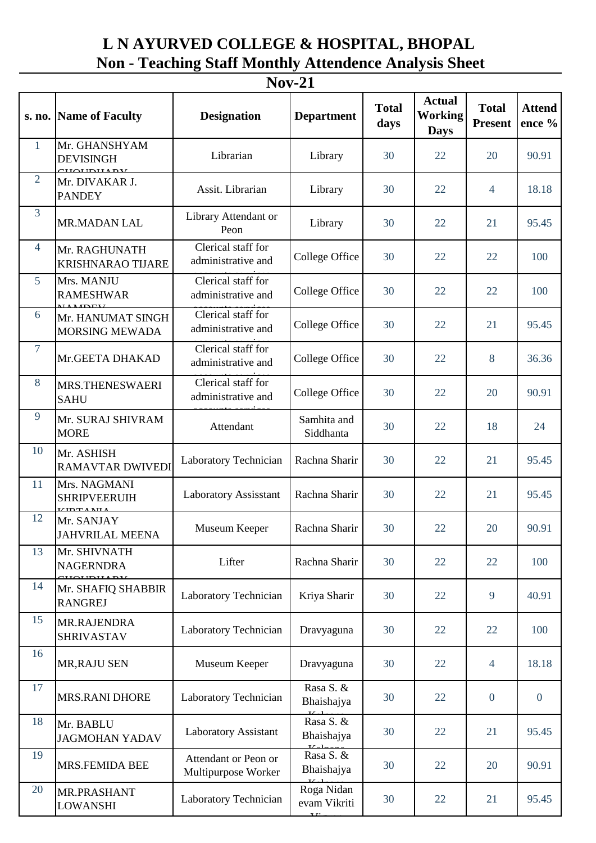## **L N AYURVED COLLEGE & HOSPITAL, BHOPAL Non - Teaching Staff Monthly Attendence Analysis Sheet**

| $Nov-21$        |                                                       |                                             |                                               |                      |                                         |                                |                         |  |  |  |  |
|-----------------|-------------------------------------------------------|---------------------------------------------|-----------------------------------------------|----------------------|-----------------------------------------|--------------------------------|-------------------------|--|--|--|--|
| s. no.          | <b>Name of Faculty</b>                                | <b>Designation</b>                          | <b>Department</b>                             | <b>Total</b><br>days | <b>Actual</b><br>Working<br><b>Days</b> | <b>Total</b><br><b>Present</b> | <b>Attend</b><br>ence % |  |  |  |  |
| $\mathbf{1}$    | Mr. GHANSHYAM<br><b>DEVISINGH</b><br><b>TIQUELLAV</b> | Librarian                                   | Library                                       | 30                   | 22                                      | 20                             | 90.91                   |  |  |  |  |
| $\overline{2}$  | Mr. DIVAKAR J.<br><b>PANDEY</b>                       | Assit. Librarian                            | Library                                       | 30                   | 22                                      | $\overline{4}$                 | 18.18                   |  |  |  |  |
| $\overline{3}$  | <b>MR.MADAN LAL</b>                                   | Library Attendant or<br>Peon                | Library                                       | 30                   | 22                                      | 21                             | 95.45                   |  |  |  |  |
| $\overline{4}$  | Mr. RAGHUNATH<br><b>KRISHNARAO TIJARE</b>             | Clerical staff for<br>administrative and    | College Office                                | 30                   | 22                                      | 22                             | 100                     |  |  |  |  |
| $5\overline{)}$ | Mrs. MANJU<br><b>RAMESHWAR</b>                        | Clerical staff for<br>administrative and    | College Office                                | 30                   | 22                                      | 22                             | 100                     |  |  |  |  |
| 6               | Mr. HANUMAT SINGH<br>MORSING MEWADA                   | Clerical staff for<br>administrative and    | College Office                                | 30                   | 22                                      | 21                             | 95.45                   |  |  |  |  |
| $\overline{7}$  | Mr.GEETA DHAKAD                                       | Clerical staff for<br>administrative and    | College Office                                | 30                   | 22                                      | 8                              | 36.36                   |  |  |  |  |
| 8               | MRS.THENESWAERI<br><b>SAHU</b>                        | Clerical staff for<br>administrative and    | College Office                                | 30                   | 22                                      | 20                             | 90.91                   |  |  |  |  |
| 9               | Mr. SURAJ SHIVRAM<br><b>MORE</b>                      | Attendant                                   | Samhita and<br>Siddhanta                      | 30                   | 22                                      | 18                             | 24                      |  |  |  |  |
| 10              | Mr. ASHISH<br><b>RAMAVTAR DWIVEDI</b>                 | Laboratory Technician                       | Rachna Sharir                                 | 30                   | 22                                      | 21                             | 95.45                   |  |  |  |  |
| 11              | Mrs. NAGMANI<br><b>SHRIPVEERUIH</b>                   | <b>Laboratory Assisstant</b>                | Rachna Sharir                                 | 30                   | 22                                      | 21                             | 95.45                   |  |  |  |  |
| 12              | Mr. SANJAY<br><b>JAHVRILAL MEENA</b>                  | Museum Keeper                               | Rachna Sharir                                 | 30                   | 22                                      | 20                             | 90.91                   |  |  |  |  |
| 13              | Mr. SHIVNATH<br><b>NAGERNDRA</b>                      | Lifter                                      | Rachna Sharir                                 | 30                   | 22                                      | 22                             | 100                     |  |  |  |  |
| 14              | Mr. SHAFIQ SHABBIR<br><b>RANGREJ</b>                  | Laboratory Technician                       | Kriya Sharir                                  | 30                   | 22                                      | 9                              | 40.91                   |  |  |  |  |
| 15              | MR.RAJENDRA<br><b>SHRIVASTAV</b>                      | Laboratory Technician                       | Dravyaguna                                    | 30                   | 22                                      | 22                             | 100                     |  |  |  |  |
| 16              | MR, RAJU SEN                                          | Museum Keeper                               | Dravyaguna                                    | 30                   | 22                                      | $\overline{4}$                 | 18.18                   |  |  |  |  |
| 17              | MRS.RANI DHORE                                        | Laboratory Technician                       | Rasa S. &<br>Bhaishajya                       | 30                   | 22                                      | $\mathbf{0}$                   | $\mathbf{0}$            |  |  |  |  |
| 18              | Mr. BABLU<br><b>JAGMOHAN YADAV</b>                    | <b>Laboratory Assistant</b>                 | Rasa S. &<br>Bhaishajya                       | 30                   | 22                                      | 21                             | 95.45                   |  |  |  |  |
| 19              | MRS.FEMIDA BEE                                        | Attendant or Peon or<br>Multipurpose Worker | Rasa S. &<br>Bhaishajya                       | 30                   | 22                                      | 20                             | 90.91                   |  |  |  |  |
| 20              | MR.PRASHANT<br><b>LOWANSHI</b>                        | Laboratory Technician                       | Roga Nidan<br>evam Vikriti<br>$\overline{11}$ | 30                   | 22                                      | 21                             | 95.45                   |  |  |  |  |